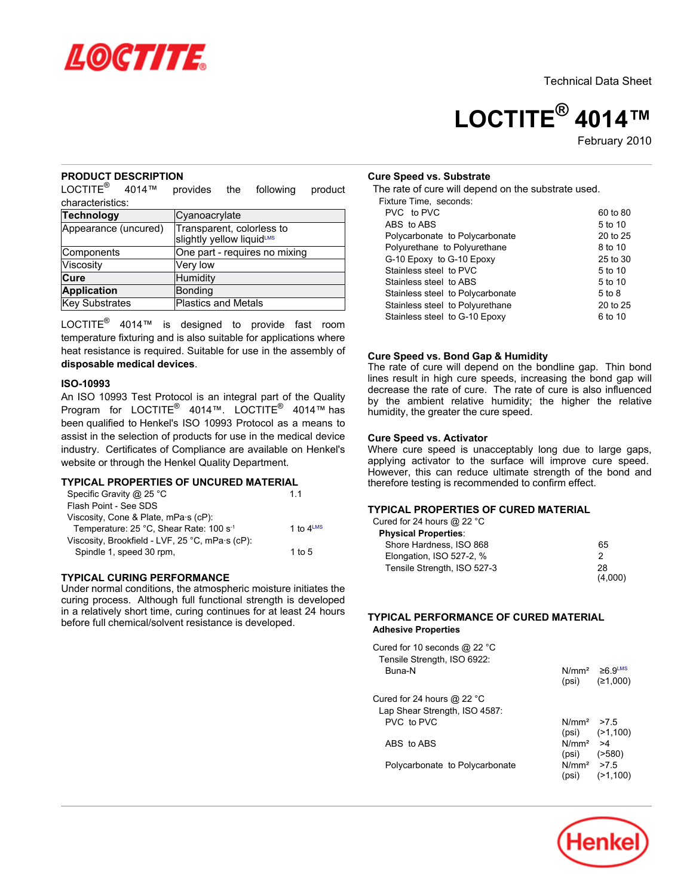

# **LOCTITE® 4014™**

February-2010

## **PRODUCT DESCRIPTION**

LOCTITE® 4014™ provides the following product characteristics:

| Technology           | Cyanoacrylate                                          |
|----------------------|--------------------------------------------------------|
| Appearance (uncured) | Transparent, colorless to<br>slightly yellow liquidLMS |
|                      |                                                        |
| Components           | One part - requires no mixing                          |
| Viscosity            | Very low                                               |
| Cure                 | Humidity                                               |
| <b>Application</b>   | <b>Bonding</b>                                         |
| Key Substrates       | <b>Plastics and Metals</b>                             |

LOCTITE<sup>®</sup> 4014™ is designed to provide fast room temperature fixturing and is also suitable for applications where heat resistance is required. Suitable for use in the assembly of **disposable medical devices**.

#### **ISO-10993**

An ISO 10993 Test Protocol is an integral part of the Quality Program for LOCTITE® 4014™. LOCTITE® 4014™ has been qualified to Henkel's ISO 10993 Protocol as a means to assist in the selection of products for use in the medical device industry. Certificates of Compliance are available on Henkel's website or through the Henkel Quality Department.

# **TYPICAL PROPERTIES OF UNCURED MATERIAL**

| Specific Gravity @ 25 °C                            | 11                    |
|-----------------------------------------------------|-----------------------|
| Flash Point - See SDS                               |                       |
| Viscosity, Cone & Plate, mPa.s (cP):                |                       |
| Temperature: 25 °C, Shear Rate: 100 s <sup>-1</sup> | 1 to $4^{\text{LMS}}$ |
| Viscosity, Brookfield - LVF, 25 °C, mPa·s (cP):     |                       |
| Spindle 1, speed 30 rpm,                            | 1 to 5                |
|                                                     |                       |

## **TYPICAL CURING PERFORMANCE**

Under normal conditions, the atmospheric moisture initiates the curing process. Although full functional strength is developed in a relatively short time, curing continues for at least 24 hours before full chemical/solvent resistance is developed.

#### **Cure Speed vs. Substrate**

The rate of cure will depend on the substrate used.

|  |  | Fixture Time, seconds: |
|--|--|------------------------|
|--|--|------------------------|

| PVC to PVC                       | 60 to 80 |
|----------------------------------|----------|
| ABS to ABS                       | 5 to 10  |
| Polycarbonate to Polycarbonate   | 20 to 25 |
| Polyurethane to Polyurethane     | 8 to 10  |
| G-10 Epoxy to G-10 Epoxy         | 25 to 30 |
| Stainless steel to PVC           | 5 to 10  |
| Stainless steel to ABS           | 5 to 10  |
| Stainless steel to Polycarbonate | 5 to 8   |
| Stainless steel to Polyurethane  | 20 to 25 |
| Stainless steel to G-10 Epoxy    | 6 to 10  |
|                                  |          |

#### **Cure Speed vs. Bond Gap & Humidity**

The rate of cure will depend on the bondline gap. Thin bond lines result in high cure speeds, increasing the bond gap will decrease the rate of cure. The rate of cure is also influenced by the ambient relative humidity; the higher the relative humidity, the greater the cure speed.

## **Cure Speed vs. Activator**

Where cure speed is unacceptably long due to large gaps, applying activator to the surface will improve cure speed. However, this can reduce ultimate strength of the bond and therefore testing is recommended to confirm effect.

# **TYPICAL PROPERTIES OF CURED MATERIAL**

| Cured for 24 hours @ 22 $^{\circ}$ C |    |
|--------------------------------------|----|
| <b>Physical Properties:</b>          |    |
| Shore Hardness, ISO 868              | 65 |
| Elongation, ISO 527-2, %             | 2  |
| Tensile Strength, ISO 527-3          | 28 |
|                                      |    |

## **TYPICAL PERFORMANCE OF CURED MATERIAL Adhesive Properties**

| Cured for 10 seconds @ 22 °C<br>Tensile Strength, ISO 6922: |                                 |                                                        |
|-------------------------------------------------------------|---------------------------------|--------------------------------------------------------|
| Buna-N                                                      |                                 | $N/mm^2 \geq 6.9$ <sup>LMS</sup><br>$(psi)$ $(21,000)$ |
| Cured for 24 hours @ 22 °C<br>Lap Shear Strength, ISO 4587: |                                 |                                                        |
| PVC to PVC                                                  | $N/mm^2$ > 7.5                  | $(psi)$ $(>1,100)$                                     |
| ABS to ABS                                                  | $N/mm^2$ >4<br>$(psi)$ $(>580)$ |                                                        |
| Polycarbonate to Polycarbonate                              | $N/mm^2$ > 7.5<br>(psi)         | (21, 100)                                              |

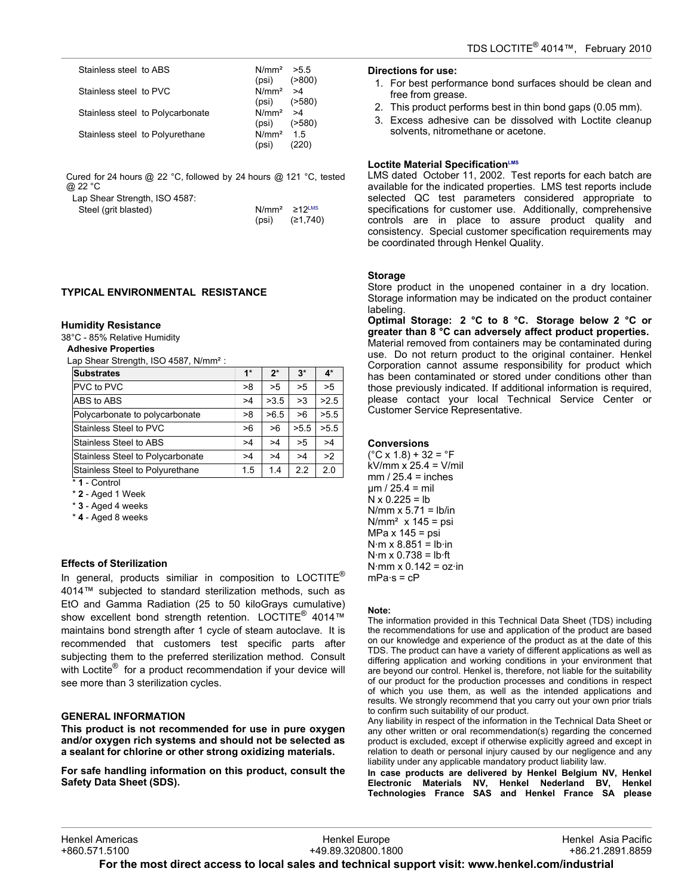| Stainless steel to ABS           | $N/mm^2$ > 5.5<br>( > 800)<br>(psi) |
|----------------------------------|-------------------------------------|
| Stainless steel to PVC           | $N/mm^2$ >4<br>(2580)<br>(psi)      |
| Stainless steel to Polycarbonate | $N/mm^2$ >4<br>(2580)<br>(psi)      |
| Stainless steel to Polyurethane  | $N/mm2$ 1.5<br>(psi)                |

Cured for 24 hours @ 22 °C, followed by 24 hours @ 121 °C, tested @ 22 °C

Lap Shear Strength, ISO 4587:

Steel (grit blasted)

| $N/mm^2$ | $\geq$ 12 $\text{LMS}$ |
|----------|------------------------|
| (psi)    | (≥1,740)               |

# **TYPICAL ENVIRONMENTAL RESISTANCE**

#### **Humidity Resistance**

38°C - 85% Relative Humidity

# **Adhesive Properties**

Lap Shear Strength, ISO 4587, N/mm<sup>2</sup>:

| <b>Substrates</b>                | $1*$ | $2^*$ | $3^*$ | $4^*$ |
|----------------------------------|------|-------|-------|-------|
| <b>PVC</b> to PVC                | >8   | >5    | >5    | >5    |
| ABS to ABS                       | >4   | >3.5  | >3    | >2.5  |
| Polycarbonate to polycarbonate   | >8   | >6.5  | >6    | >5.5  |
| Stainless Steel to PVC           | >6   | >6    | >5.5  | >5.5  |
| Stainless Steel to ABS           | >4   | >4    | >5    | >4    |
| Stainless Steel to Polycarbonate | >4   | >4    | >4    | >2    |
| Stainless Steel to Polyurethane  | 1.5  | 1.4   | 2.2   | 2.0   |

\* **1** - Control

\* **2** - Aged 1 Week

\* **3** - Aged 4 weeks

\* **4** - Aged 8 weeks

## **Effects of Sterilization**

In general, products similiar in composition to LOCTITE<sup>®</sup> 4014™ subjected to standard sterilization methods, such as EtO and Gamma Radiation (25 to 50 kiloGrays cumulative) show excellent bond strength retention. LOCTITE<sup>®</sup> 4014™ maintains bond strength after 1 cycle of steam autoclave. It is recommended that customers test specific parts after subjecting them to the preferred sterilization method. Consult with Loctite<sup>®</sup> for a product recommendation if your device will see more than 3 sterilization cycles.

## **GENERAL INFORMATION**

**This product is not recommended for use in pure oxygen and/or oxygen rich systems and should not be selected as a sealant for chlorine or other strong oxidizing materials.**

**For safe handling information on this product, consult the Safety Data Sheet (SDS).**

#### **Directions for use:**

- 1. For best performance bond surfaces should be clean and free from grease.
- 2. This product performs best in thin bond gaps (0.05 mm).
- 3. Excess adhesive can be dissolved with Loctite cleanup solvents, nitromethane or acetone.

## **Loctite Material SpecificationLMS**

LMS dated October 11, 2002. Test reports for each batch are available for the indicated properties. LMS test reports include selected QC test parameters considered appropriate to specifications for customer use. Additionally, comprehensive controls are in place to assure product quality and consistency. Special customer specification requirements may be coordinated through Henkel Quality.

## **Storage**

Store product in the unopened container in a dry location. Storage information may be indicated on the product container labeling.

**Optimal Storage: 2 °C to 8 °C. Storage below 2 °C or greater than 8 °C can adversely affect product properties.** Material removed from containers may be contaminated during use. Do not return product to the original container. Henkel Corporation cannot assume responsibility for product which has been contaminated or stored under conditions other than those previously indicated. If additional information is required, please contact your local Technical Service Center or Customer Service Representative.

### **Conversions**

 $(^{\circ}C \times 1.8) + 32 = ^{\circ}F$ kV/mm x 25.4 = V/mil  $mm / 25.4 = inches$  $µm / 25.4 = mil$  $N \times 0.225 = lb$  $N/mm \times 5.71 = lb/in$  $N/mm^2$  x 145 = psi MPa x 145 = psi  $N·m \times 8.851 = lb·in$  $N·m \times 0.738 = lb·ft$  $N·mm \times 0.142 = oz·in$  $mPa·s = cP$ 

#### **Note:**

The information provided in this Technical Data Sheet (TDS) including the recommendations for use and application of the product are based on our knowledge and experience of the product as at the date of this TDS. The product can have a variety of different applications as well as differing application and working conditions in your environment that are beyond our control. Henkel is, therefore, not liable for the suitability of our product for the production processes and conditions in respect of which you use them, as well as the intended applications and results. We strongly recommend that you carry out your own prior trials to confirm such suitability of our product.

Any liability in respect of the information in the Technical Data Sheet or any other written or oral recommendation(s) regarding the concerned product is excluded, except if otherwise explicitly agreed and except in relation to death or personal injury caused by our negligence and any liability under any applicable mandatory product liability law.

**In case products are delivered by Henkel Belgium NV, Henkel Electronic Materials NV, Henkel Nederland BV, Henkel Technologies France SAS and Henkel France SA please**